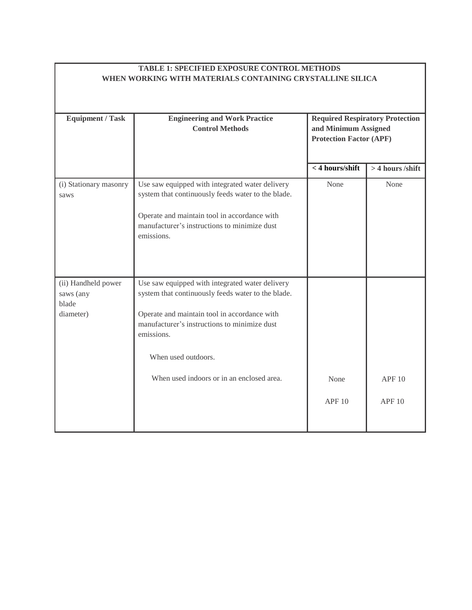## **TABLE 1: SPECIFIED EXPOSURE CONTROL METHODS WHEN WORKING WITH MATERIALS CONTAINING CRYSTALLINE SILICA**

| <b>Required Respiratory Protection</b> |                                                    |                                |                  |
|----------------------------------------|----------------------------------------------------|--------------------------------|------------------|
| <b>Equipment / Task</b>                | <b>Engineering and Work Practice</b>               |                                |                  |
|                                        | <b>Control Methods</b>                             | and Minimum Assigned           |                  |
|                                        |                                                    | <b>Protection Factor (APF)</b> |                  |
|                                        |                                                    |                                |                  |
|                                        |                                                    |                                |                  |
|                                        |                                                    | $<$ 4 hours/shift              | > 4 hours /shift |
| (i) Stationary masonry                 | Use saw equipped with integrated water delivery    | None                           | None             |
| saws                                   | system that continuously feeds water to the blade. |                                |                  |
|                                        |                                                    |                                |                  |
|                                        | Operate and maintain tool in accordance with       |                                |                  |
|                                        | manufacturer's instructions to minimize dust       |                                |                  |
|                                        | emissions.                                         |                                |                  |
|                                        |                                                    |                                |                  |
|                                        |                                                    |                                |                  |
|                                        |                                                    |                                |                  |
|                                        |                                                    |                                |                  |
| (ii) Handheld power                    | Use saw equipped with integrated water delivery    |                                |                  |
| saws (any                              | system that continuously feeds water to the blade. |                                |                  |
| blade                                  |                                                    |                                |                  |
| diameter)                              | Operate and maintain tool in accordance with       |                                |                  |
|                                        | manufacturer's instructions to minimize dust       |                                |                  |
|                                        | emissions.                                         |                                |                  |
|                                        |                                                    |                                |                  |
|                                        | When used outdoors.                                |                                |                  |
|                                        |                                                    |                                |                  |
|                                        | When used indoors or in an enclosed area.          | None                           | APF10            |
|                                        |                                                    |                                |                  |
|                                        |                                                    | APF10                          | <b>APF 10</b>    |
|                                        |                                                    |                                |                  |
|                                        |                                                    |                                |                  |
|                                        |                                                    |                                |                  |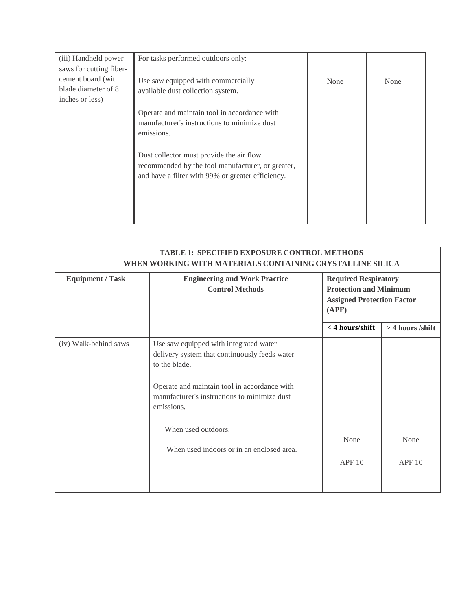| (iii) Handheld power<br>saws for cutting fiber-              | For tasks performed outdoors only:                                                                                                                 |      |      |
|--------------------------------------------------------------|----------------------------------------------------------------------------------------------------------------------------------------------------|------|------|
| cement board (with<br>blade diameter of 8<br>inches or less) | Use saw equipped with commercially<br>available dust collection system.                                                                            | None | None |
|                                                              | Operate and maintain tool in accordance with<br>manufacturer's instructions to minimize dust<br>emissions.                                         |      |      |
|                                                              | Dust collector must provide the air flow<br>recommended by the tool manufacturer, or greater,<br>and have a filter with 99% or greater efficiency. |      |      |

| <b>TABLE 1: SPECIFIED EXPOSURE CONTROL METHODS</b><br>WHEN WORKING WITH MATERIALS CONTAINING CRYSTALLINE SILICA |                                                                                                                                                                                                                                                                                            |                                                                                                            |                    |
|-----------------------------------------------------------------------------------------------------------------|--------------------------------------------------------------------------------------------------------------------------------------------------------------------------------------------------------------------------------------------------------------------------------------------|------------------------------------------------------------------------------------------------------------|--------------------|
| <b>Equipment / Task</b>                                                                                         | <b>Engineering and Work Practice</b><br><b>Control Methods</b>                                                                                                                                                                                                                             | <b>Required Respiratory</b><br><b>Protection and Minimum</b><br><b>Assigned Protection Factor</b><br>(APF) |                    |
|                                                                                                                 |                                                                                                                                                                                                                                                                                            | < 4 hours/shift                                                                                            | $>$ 4 hours /shift |
| (iv) Walk-behind saws                                                                                           | Use saw equipped with integrated water<br>delivery system that continuously feeds water<br>to the blade.<br>Operate and maintain tool in accordance with<br>manufacturer's instructions to minimize dust<br>emissions.<br>When used outdoors.<br>When used indoors or in an enclosed area. | None<br>APF10                                                                                              | None<br>APF10      |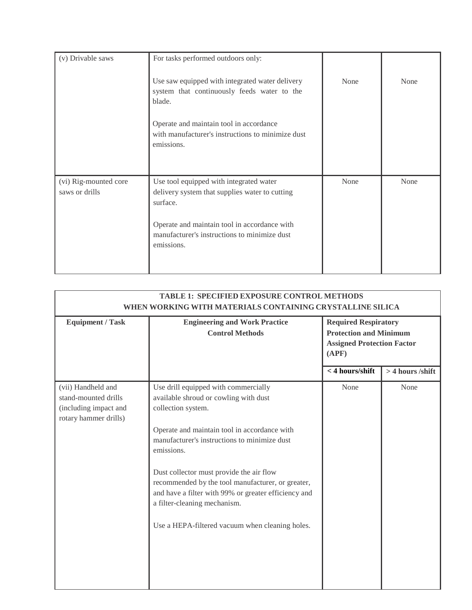| (v) Drivable saws                       | For tasks performed outdoors only:                                                                                                                                                                                  |      |      |
|-----------------------------------------|---------------------------------------------------------------------------------------------------------------------------------------------------------------------------------------------------------------------|------|------|
|                                         | Use saw equipped with integrated water delivery<br>system that continuously feeds water to the<br>blade.                                                                                                            | None | None |
|                                         | Operate and maintain tool in accordance<br>with manufacturer's instructions to minimize dust<br>emissions.                                                                                                          |      |      |
| (vi) Rig-mounted core<br>saws or drills | Use tool equipped with integrated water<br>delivery system that supplies water to cutting<br>surface.<br>Operate and maintain tool in accordance with<br>manufacturer's instructions to minimize dust<br>emissions. | None | None |

| <b>TABLE 1: SPECIFIED EXPOSURE CONTROL METHODS</b><br>WHEN WORKING WITH MATERIALS CONTAINING CRYSTALLINE SILICA |                                                                                                                                                                                                                                                                                                                                                                                                                                                               |                                                                                                            |                    |
|-----------------------------------------------------------------------------------------------------------------|---------------------------------------------------------------------------------------------------------------------------------------------------------------------------------------------------------------------------------------------------------------------------------------------------------------------------------------------------------------------------------------------------------------------------------------------------------------|------------------------------------------------------------------------------------------------------------|--------------------|
| <b>Equipment / Task</b>                                                                                         | <b>Engineering and Work Practice</b><br><b>Control Methods</b>                                                                                                                                                                                                                                                                                                                                                                                                | <b>Required Respiratory</b><br><b>Protection and Minimum</b><br><b>Assigned Protection Factor</b><br>(APF) |                    |
|                                                                                                                 |                                                                                                                                                                                                                                                                                                                                                                                                                                                               | $<$ 4 hours/shift                                                                                          | $>$ 4 hours /shift |
| (vii) Handheld and<br>stand-mounted drills<br>(including impact and<br>rotary hammer drills)                    | Use drill equipped with commercially<br>available shroud or cowling with dust<br>collection system.<br>Operate and maintain tool in accordance with<br>manufacturer's instructions to minimize dust<br>emissions.<br>Dust collector must provide the air flow<br>recommended by the tool manufacturer, or greater,<br>and have a filter with 99% or greater efficiency and<br>a filter-cleaning mechanism.<br>Use a HEPA-filtered vacuum when cleaning holes. | None                                                                                                       | None               |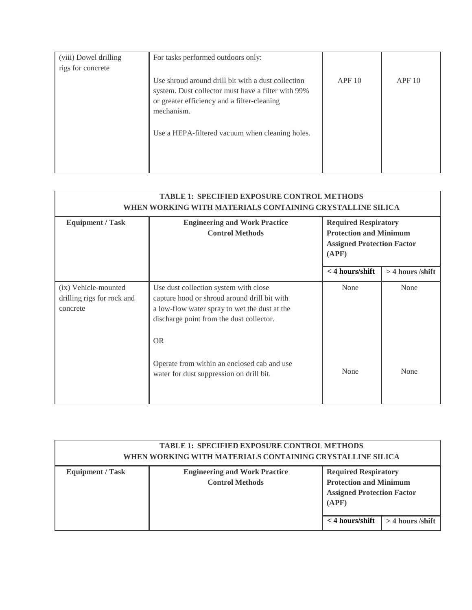| (viii) Dowel drilling | For tasks performed outdoors only:                                                                                                                                    |       |       |
|-----------------------|-----------------------------------------------------------------------------------------------------------------------------------------------------------------------|-------|-------|
| rigs for concrete     |                                                                                                                                                                       |       |       |
|                       | Use shroud around drill bit with a dust collection<br>system. Dust collector must have a filter with 99%<br>or greater efficiency and a filter-cleaning<br>mechanism. | APF10 | APF10 |
|                       | Use a HEPA-filtered vacuum when cleaning holes.                                                                                                                       |       |       |

| <b>TABLE 1: SPECIFIED EXPOSURE CONTROL METHODS</b><br>WHEN WORKING WITH MATERIALS CONTAINING CRYSTALLINE SILICA |                                                                                                                                                                                                 |                                                                                                            |                  |
|-----------------------------------------------------------------------------------------------------------------|-------------------------------------------------------------------------------------------------------------------------------------------------------------------------------------------------|------------------------------------------------------------------------------------------------------------|------------------|
| <b>Equipment / Task</b>                                                                                         | <b>Engineering and Work Practice</b><br><b>Control Methods</b>                                                                                                                                  | <b>Required Respiratory</b><br><b>Protection and Minimum</b><br><b>Assigned Protection Factor</b><br>(APF) |                  |
|                                                                                                                 |                                                                                                                                                                                                 | $<$ 4 hours/shift                                                                                          | > 4 hours /shift |
| (ix) Vehicle-mounted<br>drilling rigs for rock and<br>concrete                                                  | Use dust collection system with close<br>capture hood or shroud around drill bit with<br>a low-flow water spray to wet the dust at the<br>discharge point from the dust collector.<br><b>OR</b> | None                                                                                                       | None             |
|                                                                                                                 | Operate from within an enclosed cab and use<br>water for dust suppression on drill bit.                                                                                                         | None                                                                                                       | None             |

| <b>TABLE 1: SPECIFIED EXPOSURE CONTROL METHODS</b><br>WHEN WORKING WITH MATERIALS CONTAINING CRYSTALLINE SILICA |                                                                |                                                                                                                                                       |
|-----------------------------------------------------------------------------------------------------------------|----------------------------------------------------------------|-------------------------------------------------------------------------------------------------------------------------------------------------------|
| <b>Equipment / Task</b>                                                                                         | <b>Engineering and Work Practice</b><br><b>Control Methods</b> | <b>Required Respiratory</b><br><b>Protection and Minimum</b><br><b>Assigned Protection Factor</b><br>(APF)<br>$<$ 4 hours/shift<br>$>$ 4 hours /shift |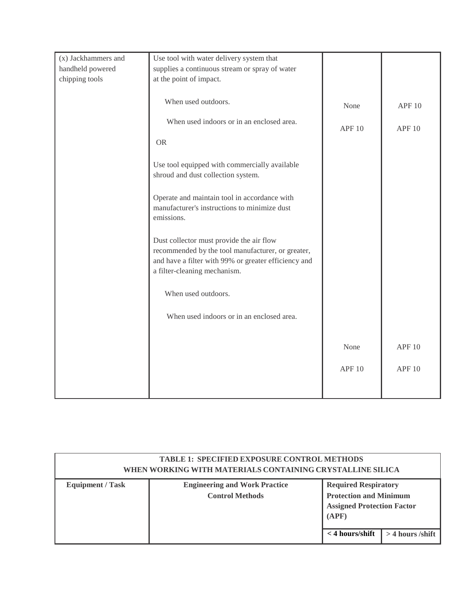| (x) Jackhammers and | Use tool with water delivery system that             |               |                   |
|---------------------|------------------------------------------------------|---------------|-------------------|
| handheld powered    | supplies a continuous stream or spray of water       |               |                   |
| chipping tools      | at the point of impact.                              |               |                   |
|                     |                                                      |               |                   |
|                     | When used outdoors.                                  |               |                   |
|                     |                                                      | None          | <b>APF 10</b>     |
|                     | When used indoors or in an enclosed area.            |               |                   |
|                     |                                                      | <b>APF 10</b> | <b>APF 10</b>     |
|                     | <b>OR</b>                                            |               |                   |
|                     |                                                      |               |                   |
|                     | Use tool equipped with commercially available        |               |                   |
|                     | shroud and dust collection system.                   |               |                   |
|                     |                                                      |               |                   |
|                     | Operate and maintain tool in accordance with         |               |                   |
|                     | manufacturer's instructions to minimize dust         |               |                   |
|                     | emissions.                                           |               |                   |
|                     |                                                      |               |                   |
|                     | Dust collector must provide the air flow             |               |                   |
|                     | recommended by the tool manufacturer, or greater,    |               |                   |
|                     | and have a filter with 99% or greater efficiency and |               |                   |
|                     | a filter-cleaning mechanism.                         |               |                   |
|                     |                                                      |               |                   |
|                     | When used outdoors.                                  |               |                   |
|                     |                                                      |               |                   |
|                     | When used indoors or in an enclosed area.            |               |                   |
|                     |                                                      |               |                   |
|                     |                                                      |               |                   |
|                     |                                                      | None          | APF <sub>10</sub> |
|                     |                                                      |               |                   |
|                     |                                                      | <b>APF 10</b> | <b>APF 10</b>     |
|                     |                                                      |               |                   |
|                     |                                                      |               |                   |
|                     |                                                      |               |                   |

|                         | <b>TABLE 1: SPECIFIED EXPOSURE CONTROL METHODS</b><br>WHEN WORKING WITH MATERIALS CONTAINING CRYSTALLINE SILICA |                                                                                                            |                                            |
|-------------------------|-----------------------------------------------------------------------------------------------------------------|------------------------------------------------------------------------------------------------------------|--------------------------------------------|
| <b>Equipment / Task</b> | <b>Engineering and Work Practice</b><br><b>Control Methods</b>                                                  | <b>Required Respiratory</b><br><b>Protection and Minimum</b><br><b>Assigned Protection Factor</b><br>(APF) |                                            |
|                         |                                                                                                                 |                                                                                                            | $\langle$ 4 hours/shift   > 4 hours /shift |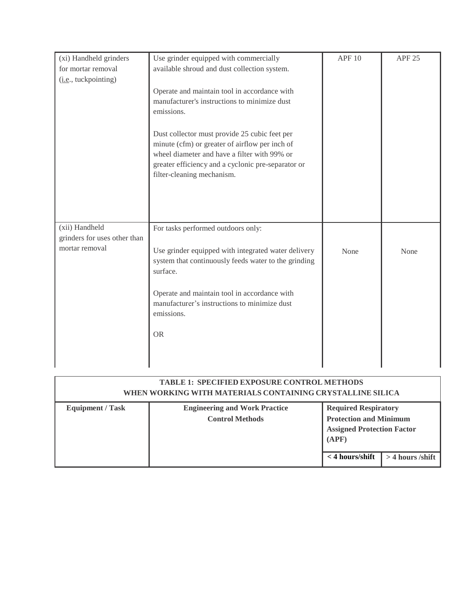| (xi) Handheld grinders        | Use grinder equipped with commercially                                                          | <b>APF 10</b> | <b>APF 25</b> |
|-------------------------------|-------------------------------------------------------------------------------------------------|---------------|---------------|
| for mortar removal            | available shroud and dust collection system.                                                    |               |               |
| ( <i>i.e.</i> , tuckpointing) |                                                                                                 |               |               |
|                               | Operate and maintain tool in accordance with                                                    |               |               |
|                               | manufacturer's instructions to minimize dust                                                    |               |               |
|                               | emissions.                                                                                      |               |               |
|                               |                                                                                                 |               |               |
|                               | Dust collector must provide 25 cubic feet per<br>minute (cfm) or greater of airflow per inch of |               |               |
|                               | wheel diameter and have a filter with 99% or                                                    |               |               |
|                               | greater efficiency and a cyclonic pre-separator or                                              |               |               |
|                               | filter-cleaning mechanism.                                                                      |               |               |
|                               |                                                                                                 |               |               |
|                               |                                                                                                 |               |               |
|                               |                                                                                                 |               |               |
| (xii) Handheld                | For tasks performed outdoors only:                                                              |               |               |
| grinders for uses other than  |                                                                                                 |               |               |
| mortar removal                | Use grinder equipped with integrated water delivery                                             | None          | None          |
|                               | system that continuously feeds water to the grinding                                            |               |               |
|                               | surface.                                                                                        |               |               |
|                               | Operate and maintain tool in accordance with                                                    |               |               |
|                               | manufacturer's instructions to minimize dust                                                    |               |               |
|                               | emissions.                                                                                      |               |               |
|                               |                                                                                                 |               |               |
|                               | <b>OR</b>                                                                                       |               |               |
|                               |                                                                                                 |               |               |
|                               |                                                                                                 |               |               |

|                         | <b>TABLE 1: SPECIFIED EXPOSURE CONTROL METHODS</b><br>WHEN WORKING WITH MATERIALS CONTAINING CRYSTALLINE SILICA |                                                                                                                                 |                    |
|-------------------------|-----------------------------------------------------------------------------------------------------------------|---------------------------------------------------------------------------------------------------------------------------------|--------------------|
| <b>Equipment / Task</b> | <b>Engineering and Work Practice</b><br><b>Control Methods</b>                                                  | <b>Required Respiratory</b><br><b>Protection and Minimum</b><br><b>Assigned Protection Factor</b><br>(APF)<br>$<$ 4 hours/shift | $>$ 4 hours /shift |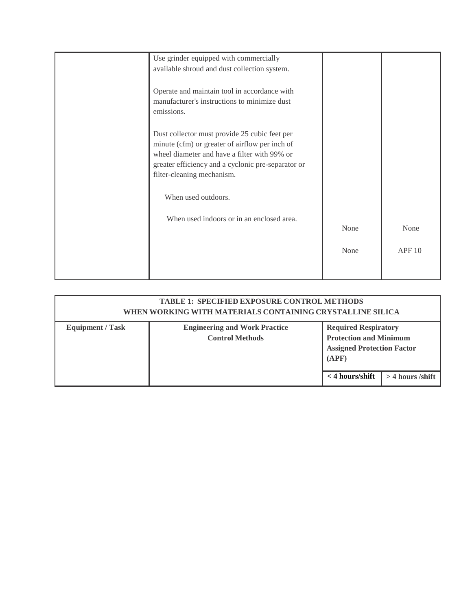| Use grinder equipped with commercially<br>available shroud and dust collection system.                                                                                                                                              |      |       |
|-------------------------------------------------------------------------------------------------------------------------------------------------------------------------------------------------------------------------------------|------|-------|
| Operate and maintain tool in accordance with<br>manufacturer's instructions to minimize dust<br>emissions.                                                                                                                          |      |       |
| Dust collector must provide 25 cubic feet per<br>minute (cfm) or greater of airflow per inch of<br>wheel diameter and have a filter with 99% or<br>greater efficiency and a cyclonic pre-separator or<br>filter-cleaning mechanism. |      |       |
| When used outdoors.                                                                                                                                                                                                                 |      |       |
| When used indoors or in an enclosed area.                                                                                                                                                                                           | None | None  |
|                                                                                                                                                                                                                                     | None | APF10 |
|                                                                                                                                                                                                                                     |      |       |

| <b>TABLE 1: SPECIFIED EXPOSURE CONTROL METHODS</b><br>WHEN WORKING WITH MATERIALS CONTAINING CRYSTALLINE SILICA |                                                                |                            |                                                                                                                         |  |
|-----------------------------------------------------------------------------------------------------------------|----------------------------------------------------------------|----------------------------|-------------------------------------------------------------------------------------------------------------------------|--|
| <b>Equipment / Task</b>                                                                                         | <b>Engineering and Work Practice</b><br><b>Control Methods</b> | (APF)<br>$<$ 4 hours/shift | <b>Required Respiratory</b><br><b>Protection and Minimum</b><br><b>Assigned Protection Factor</b><br>$>$ 4 hours /shift |  |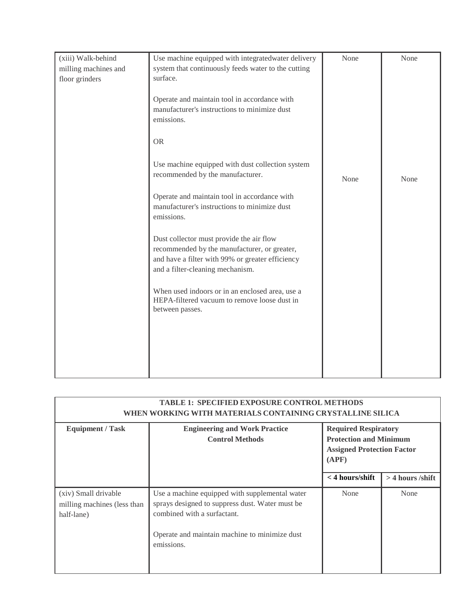| (xiii) Walk-behind<br>milling machines and<br>floor grinders | Use machine equipped with integratedwater delivery<br>system that continuously feeds water to the cutting<br>surface.<br>Operate and maintain tool in accordance with<br>manufacturer's instructions to minimize dust<br>emissions.<br><b>OR</b> | None | None |
|--------------------------------------------------------------|--------------------------------------------------------------------------------------------------------------------------------------------------------------------------------------------------------------------------------------------------|------|------|
|                                                              | Use machine equipped with dust collection system<br>recommended by the manufacturer.<br>Operate and maintain tool in accordance with<br>manufacturer's instructions to minimize dust<br>emissions.                                               | None | None |
|                                                              | Dust collector must provide the air flow<br>recommended by the manufacturer, or greater,<br>and have a filter with 99% or greater efficiency<br>and a filter-cleaning mechanism.<br>When used indoors or in an enclosed area, use a              |      |      |
|                                                              | HEPA-filtered vacuum to remove loose dust in<br>between passes.                                                                                                                                                                                  |      |      |

| <b>TABLE 1: SPECIFIED EXPOSURE CONTROL METHODS</b><br>WHEN WORKING WITH MATERIALS CONTAINING CRYSTALLINE SILICA |                                                                                                                                                                                                 |                                                                                                            |                    |
|-----------------------------------------------------------------------------------------------------------------|-------------------------------------------------------------------------------------------------------------------------------------------------------------------------------------------------|------------------------------------------------------------------------------------------------------------|--------------------|
| <b>Equipment / Task</b>                                                                                         | <b>Engineering and Work Practice</b><br><b>Control Methods</b>                                                                                                                                  | <b>Required Respiratory</b><br><b>Protection and Minimum</b><br><b>Assigned Protection Factor</b><br>(APF) |                    |
|                                                                                                                 |                                                                                                                                                                                                 | $<$ 4 hours/shift                                                                                          | $>$ 4 hours /shift |
| (xiv) Small drivable<br>milling machines (less than<br>half-lane)                                               | Use a machine equipped with supplemental water<br>sprays designed to suppress dust. Water must be<br>combined with a surfactant.<br>Operate and maintain machine to minimize dust<br>emissions. | None                                                                                                       | None               |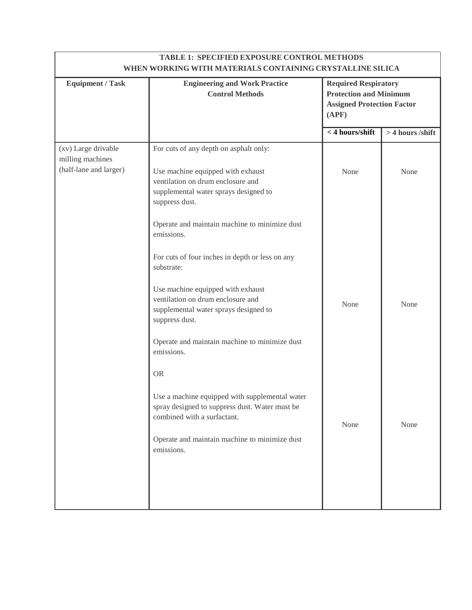| <b>TABLE 1: SPECIFIED EXPOSURE CONTROL METHODS</b><br>WHEN WORKING WITH MATERIALS CONTAINING CRYSTALLINE SILICA |                                                                                                                                                                                  |                                                                                                            |                  |
|-----------------------------------------------------------------------------------------------------------------|----------------------------------------------------------------------------------------------------------------------------------------------------------------------------------|------------------------------------------------------------------------------------------------------------|------------------|
| <b>Equipment / Task</b>                                                                                         | <b>Engineering and Work Practice</b><br><b>Control Methods</b>                                                                                                                   | <b>Required Respiratory</b><br><b>Protection and Minimum</b><br><b>Assigned Protection Factor</b><br>(APF) |                  |
|                                                                                                                 |                                                                                                                                                                                  | $<$ 4 hours/shift                                                                                          | > 4 hours /shift |
| (xv) Large drivable<br>milling machines<br>(half-lane and larger)                                               | For cuts of any depth on asphalt only:<br>Use machine equipped with exhaust<br>ventilation on drum enclosure and<br>supplemental water sprays designed to<br>suppress dust.      | None                                                                                                       | None             |
|                                                                                                                 | Operate and maintain machine to minimize dust<br>emissions.                                                                                                                      |                                                                                                            |                  |
|                                                                                                                 | For cuts of four inches in depth or less on any<br>substrate:                                                                                                                    |                                                                                                            |                  |
|                                                                                                                 | Use machine equipped with exhaust<br>ventilation on drum enclosure and<br>supplemental water sprays designed to<br>suppress dust.                                                | None                                                                                                       | None             |
|                                                                                                                 | Operate and maintain machine to minimize dust<br>emissions.                                                                                                                      |                                                                                                            |                  |
|                                                                                                                 | <b>OR</b>                                                                                                                                                                        |                                                                                                            |                  |
|                                                                                                                 | Use a machine equipped with supplemental water<br>spray designed to suppress dust. Water must be<br>combined with a surfactant.<br>Operate and maintain machine to minimize dust | None                                                                                                       | None             |
|                                                                                                                 | emissions.                                                                                                                                                                       |                                                                                                            |                  |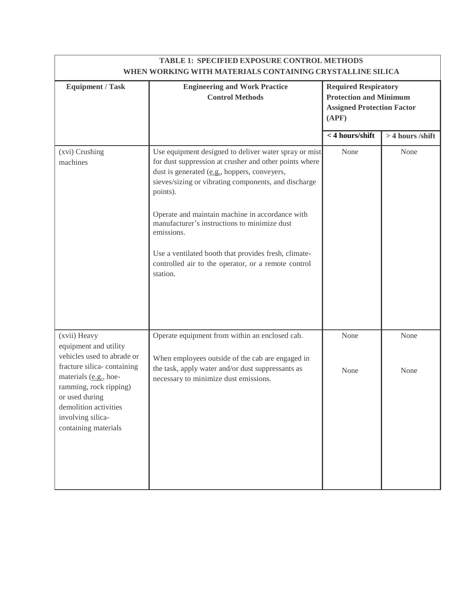| <b>TABLE 1: SPECIFIED EXPOSURE CONTROL METHODS</b><br>WHEN WORKING WITH MATERIALS CONTAINING CRYSTALLINE SILICA                                                       |                                                                                                                                                                                                                                                                                                                                                                                                                                                                                 |                                                                                                            |                  |
|-----------------------------------------------------------------------------------------------------------------------------------------------------------------------|---------------------------------------------------------------------------------------------------------------------------------------------------------------------------------------------------------------------------------------------------------------------------------------------------------------------------------------------------------------------------------------------------------------------------------------------------------------------------------|------------------------------------------------------------------------------------------------------------|------------------|
| <b>Equipment / Task</b>                                                                                                                                               | <b>Engineering and Work Practice</b><br><b>Control Methods</b>                                                                                                                                                                                                                                                                                                                                                                                                                  | <b>Required Respiratory</b><br><b>Protection and Minimum</b><br><b>Assigned Protection Factor</b><br>(APF) |                  |
|                                                                                                                                                                       |                                                                                                                                                                                                                                                                                                                                                                                                                                                                                 | < 4 hours/shift                                                                                            | > 4 hours /shift |
| (xvi) Crushing<br>machines                                                                                                                                            | Use equipment designed to deliver water spray or mist<br>for dust suppression at crusher and other points where<br>dust is generated (e.g., hoppers, conveyers,<br>sieves/sizing or vibrating components, and discharge<br>points).<br>Operate and maintain machine in accordance with<br>manufacturer's instructions to minimize dust<br>emissions.<br>Use a ventilated booth that provides fresh, climate-<br>controlled air to the operator, or a remote control<br>station. | None                                                                                                       | None             |
| (xvii) Heavy<br>equipment and utility<br>vehicles used to abrade or                                                                                                   | Operate equipment from within an enclosed cab.<br>When employees outside of the cab are engaged in                                                                                                                                                                                                                                                                                                                                                                              | None                                                                                                       | None             |
| fracture silica-containing<br>materials (e.g., hoe-<br>ramming, rock ripping)<br>or used during<br>demolition activities<br>involving silica-<br>containing materials | the task, apply water and/or dust suppressants as<br>necessary to minimize dust emissions.                                                                                                                                                                                                                                                                                                                                                                                      | None                                                                                                       | None             |